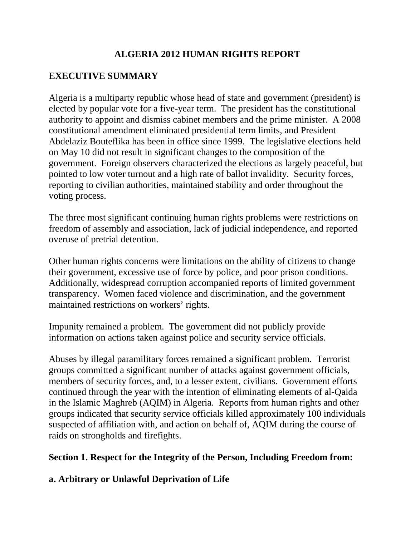# **ALGERIA 2012 HUMAN RIGHTS REPORT**

# **EXECUTIVE SUMMARY**

Algeria is a multiparty republic whose head of state and government (president) is elected by popular vote for a five-year term. The president has the constitutional authority to appoint and dismiss cabinet members and the prime minister. A 2008 constitutional amendment eliminated presidential term limits, and President Abdelaziz Bouteflika has been in office since 1999. The legislative elections held on May 10 did not result in significant changes to the composition of the government. Foreign observers characterized the elections as largely peaceful, but pointed to low voter turnout and a high rate of ballot invalidity. Security forces, reporting to civilian authorities, maintained stability and order throughout the voting process.

The three most significant continuing human rights problems were restrictions on freedom of assembly and association, lack of judicial independence, and reported overuse of pretrial detention.

Other human rights concerns were limitations on the ability of citizens to change their government, excessive use of force by police, and poor prison conditions. Additionally, widespread corruption accompanied reports of limited government transparency. Women faced violence and discrimination, and the government maintained restrictions on workers' rights.

Impunity remained a problem. The government did not publicly provide information on actions taken against police and security service officials.

Abuses by illegal paramilitary forces remained a significant problem. Terrorist groups committed a significant number of attacks against government officials, members of security forces, and, to a lesser extent, civilians. Government efforts continued through the year with the intention of eliminating elements of al-Qaida in the Islamic Maghreb (AQIM) in Algeria. Reports from human rights and other groups indicated that security service officials killed approximately 100 individuals suspected of affiliation with, and action on behalf of, AQIM during the course of raids on strongholds and firefights.

### **Section 1. Respect for the Integrity of the Person, Including Freedom from:**

### **a. Arbitrary or Unlawful Deprivation of Life**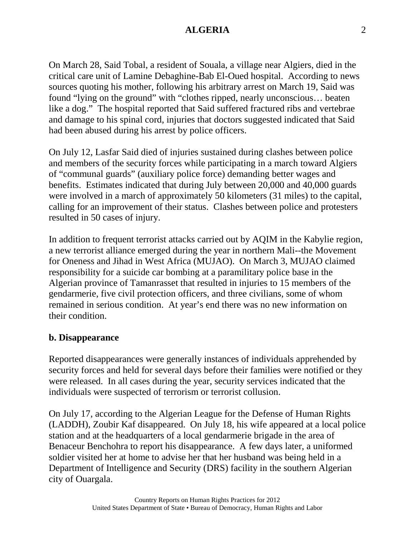On March 28, Said Tobal, a resident of Souala, a village near Algiers, died in the critical care unit of Lamine Debaghine-Bab El-Oued hospital. According to news sources quoting his mother, following his arbitrary arrest on March 19, Said was found "lying on the ground" with "clothes ripped, nearly unconscious… beaten like a dog." The hospital reported that Said suffered fractured ribs and vertebrae and damage to his spinal cord, injuries that doctors suggested indicated that Said had been abused during his arrest by police officers.

On July 12, Lasfar Said died of injuries sustained during clashes between police and members of the security forces while participating in a march toward Algiers of "communal guards" (auxiliary police force) demanding better wages and benefits. Estimates indicated that during July between 20,000 and 40,000 guards were involved in a march of approximately 50 kilometers (31 miles) to the capital, calling for an improvement of their status. Clashes between police and protesters resulted in 50 cases of injury.

In addition to frequent terrorist attacks carried out by AQIM in the Kabylie region, a new terrorist alliance emerged during the year in northern Mali--the Movement for Oneness and Jihad in West Africa (MUJAO). On March 3, MUJAO claimed responsibility for a suicide car bombing at a paramilitary police base in the Algerian province of Tamanrasset that resulted in injuries to 15 members of the gendarmerie, five civil protection officers, and three civilians, some of whom remained in serious condition. At year's end there was no new information on their condition.

#### **b. Disappearance**

Reported disappearances were generally instances of individuals apprehended by security forces and held for several days before their families were notified or they were released. In all cases during the year, security services indicated that the individuals were suspected of terrorism or terrorist collusion.

On July 17, according to the Algerian League for the Defense of Human Rights (LADDH), Zoubir Kaf disappeared. On July 18, his wife appeared at a local police station and at the headquarters of a local gendarmerie brigade in the area of Benaceur Benchohra to report his disappearance. A few days later, a uniformed soldier visited her at home to advise her that her husband was being held in a Department of Intelligence and Security (DRS) facility in the southern Algerian city of Ouargala.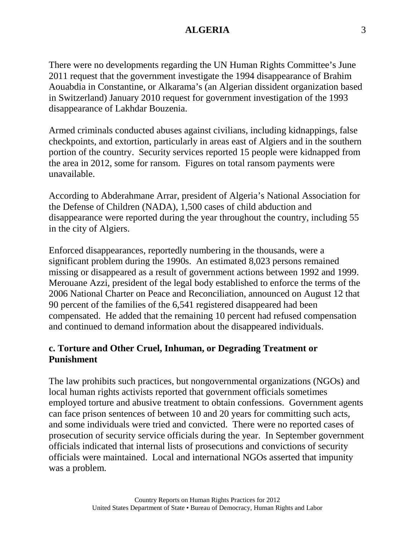There were no developments regarding the UN Human Rights Committee's June 2011 request that the government investigate the 1994 disappearance of Brahim Aouabdia in Constantine, or Alkarama's (an Algerian dissident organization based in Switzerland) January 2010 request for government investigation of the 1993 disappearance of Lakhdar Bouzenia.

Armed criminals conducted abuses against civilians, including kidnappings, false checkpoints, and extortion, particularly in areas east of Algiers and in the southern portion of the country. Security services reported 15 people were kidnapped from the area in 2012, some for ransom. Figures on total ransom payments were unavailable.

According to Abderahmane Arrar, president of Algeria's National Association for the Defense of Children (NADA), 1,500 cases of child abduction and disappearance were reported during the year throughout the country, including 55 in the city of Algiers.

Enforced disappearances, reportedly numbering in the thousands, were a significant problem during the 1990s. An estimated 8,023 persons remained missing or disappeared as a result of government actions between 1992 and 1999. Merouane Azzi, president of the legal body established to enforce the terms of the 2006 National Charter on Peace and Reconciliation, announced on August 12 that 90 percent of the families of the 6,541 registered disappeared had been compensated. He added that the remaining 10 percent had refused compensation and continued to demand information about the disappeared individuals.

#### **c. Torture and Other Cruel, Inhuman, or Degrading Treatment or Punishment**

The law prohibits such practices, but nongovernmental organizations (NGOs) and local human rights activists reported that government officials sometimes employed torture and abusive treatment to obtain confessions. Government agents can face prison sentences of between 10 and 20 years for committing such acts, and some individuals were tried and convicted. There were no reported cases of prosecution of security service officials during the year. In September government officials indicated that internal lists of prosecutions and convictions of security officials were maintained. Local and international NGOs asserted that impunity was a problem.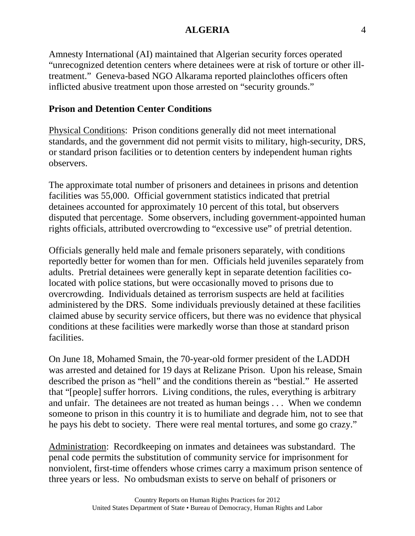Amnesty International (AI) maintained that Algerian security forces operated "unrecognized detention centers where detainees were at risk of torture or other illtreatment." Geneva-based NGO Alkarama reported plainclothes officers often inflicted abusive treatment upon those arrested on "security grounds."

# **Prison and Detention Center Conditions**

Physical Conditions: Prison conditions generally did not meet international standards, and the government did not permit visits to military, high-security, DRS, or standard prison facilities or to detention centers by independent human rights observers.

The approximate total number of prisoners and detainees in prisons and detention facilities was 55,000. Official government statistics indicated that pretrial detainees accounted for approximately 10 percent of this total, but observers disputed that percentage. Some observers, including government-appointed human rights officials, attributed overcrowding to "excessive use" of pretrial detention.

Officials generally held male and female prisoners separately, with conditions reportedly better for women than for men. Officials held juveniles separately from adults. Pretrial detainees were generally kept in separate detention facilities colocated with police stations, but were occasionally moved to prisons due to overcrowding. Individuals detained as terrorism suspects are held at facilities administered by the DRS. Some individuals previously detained at these facilities claimed abuse by security service officers, but there was no evidence that physical conditions at these facilities were markedly worse than those at standard prison facilities.

On June 18, Mohamed Smain, the 70-year-old former president of the LADDH was arrested and detained for 19 days at Relizane Prison. Upon his release, Smain described the prison as "hell" and the conditions therein as "bestial." He asserted that "[people] suffer horrors. Living conditions, the rules, everything is arbitrary and unfair. The detainees are not treated as human beings . . . When we condemn someone to prison in this country it is to humiliate and degrade him, not to see that he pays his debt to society. There were real mental tortures, and some go crazy."

Administration: Recordkeeping on inmates and detainees was substandard. The penal code permits the substitution of community service for imprisonment for nonviolent, first-time offenders whose crimes carry a maximum prison sentence of three years or less. No ombudsman exists to serve on behalf of prisoners or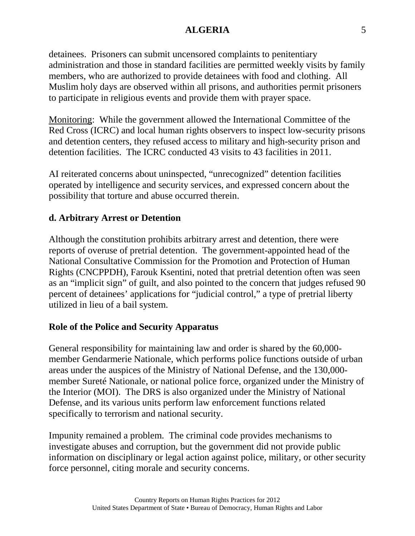detainees. Prisoners can submit uncensored complaints to penitentiary administration and those in standard facilities are permitted weekly visits by family members, who are authorized to provide detainees with food and clothing. All Muslim holy days are observed within all prisons, and authorities permit prisoners to participate in religious events and provide them with prayer space.

Monitoring: While the government allowed the International Committee of the Red Cross (ICRC) and local human rights observers to inspect low-security prisons and detention centers, they refused access to military and high-security prison and detention facilities. The ICRC conducted 43 visits to 43 facilities in 2011.

AI reiterated concerns about uninspected, "unrecognized" detention facilities operated by intelligence and security services, and expressed concern about the possibility that torture and abuse occurred therein.

# **d. Arbitrary Arrest or Detention**

Although the constitution prohibits arbitrary arrest and detention, there were reports of overuse of pretrial detention. The government-appointed head of the National Consultative Commission for the Promotion and Protection of Human Rights (CNCPPDH), Farouk Ksentini, noted that pretrial detention often was seen as an "implicit sign" of guilt, and also pointed to the concern that judges refused 90 percent of detainees' applications for "judicial control," a type of pretrial liberty utilized in lieu of a bail system.

# **Role of the Police and Security Apparatus**

General responsibility for maintaining law and order is shared by the 60,000 member Gendarmerie Nationale, which performs police functions outside of urban areas under the auspices of the Ministry of National Defense, and the 130,000 member Sureté Nationale, or national police force, organized under the Ministry of the Interior (MOI). The DRS is also organized under the Ministry of National Defense, and its various units perform law enforcement functions related specifically to terrorism and national security.

Impunity remained a problem. The criminal code provides mechanisms to investigate abuses and corruption, but the government did not provide public information on disciplinary or legal action against police, military, or other security force personnel, citing morale and security concerns.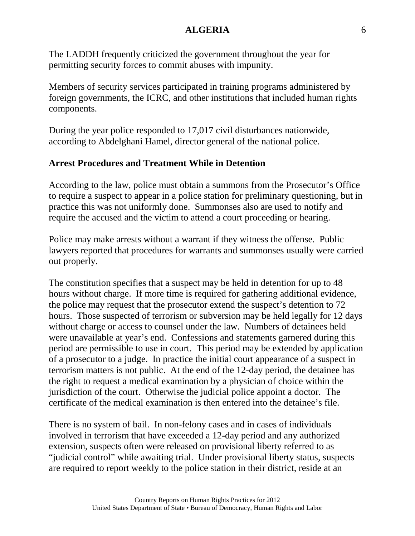The LADDH frequently criticized the government throughout the year for permitting security forces to commit abuses with impunity.

Members of security services participated in training programs administered by foreign governments, the ICRC, and other institutions that included human rights components.

During the year police responded to 17,017 civil disturbances nationwide, according to Abdelghani Hamel, director general of the national police.

### **Arrest Procedures and Treatment While in Detention**

According to the law, police must obtain a summons from the Prosecutor's Office to require a suspect to appear in a police station for preliminary questioning, but in practice this was not uniformly done. Summonses also are used to notify and require the accused and the victim to attend a court proceeding or hearing.

Police may make arrests without a warrant if they witness the offense. Public lawyers reported that procedures for warrants and summonses usually were carried out properly.

The constitution specifies that a suspect may be held in detention for up to 48 hours without charge. If more time is required for gathering additional evidence, the police may request that the prosecutor extend the suspect's detention to 72 hours. Those suspected of terrorism or subversion may be held legally for 12 days without charge or access to counsel under the law. Numbers of detainees held were unavailable at year's end. Confessions and statements garnered during this period are permissible to use in court. This period may be extended by application of a prosecutor to a judge. In practice the initial court appearance of a suspect in terrorism matters is not public. At the end of the 12-day period, the detainee has the right to request a medical examination by a physician of choice within the jurisdiction of the court. Otherwise the judicial police appoint a doctor. The certificate of the medical examination is then entered into the detainee's file.

There is no system of bail. In non-felony cases and in cases of individuals involved in terrorism that have exceeded a 12-day period and any authorized extension, suspects often were released on provisional liberty referred to as "judicial control" while awaiting trial. Under provisional liberty status, suspects are required to report weekly to the police station in their district, reside at an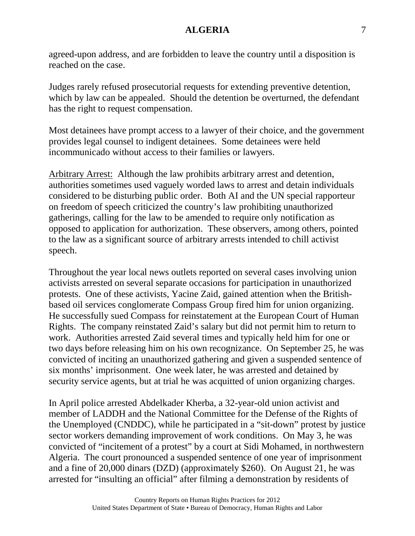agreed-upon address, and are forbidden to leave the country until a disposition is reached on the case.

Judges rarely refused prosecutorial requests for extending preventive detention, which by law can be appealed. Should the detention be overturned, the defendant has the right to request compensation.

Most detainees have prompt access to a lawyer of their choice, and the government provides legal counsel to indigent detainees. Some detainees were held incommunicado without access to their families or lawyers.

Arbitrary Arrest: Although the law prohibits arbitrary arrest and detention, authorities sometimes used vaguely worded laws to arrest and detain individuals considered to be disturbing public order. Both AI and the UN special rapporteur on freedom of speech criticized the country's law prohibiting unauthorized gatherings, calling for the law to be amended to require only notification as opposed to application for authorization. These observers, among others, pointed to the law as a significant source of arbitrary arrests intended to chill activist speech.

Throughout the year local news outlets reported on several cases involving union activists arrested on several separate occasions for participation in unauthorized protests. One of these activists, Yacine Zaid, gained attention when the Britishbased oil services conglomerate Compass Group fired him for union organizing. He successfully sued Compass for reinstatement at the European Court of Human Rights. The company reinstated Zaid's salary but did not permit him to return to work. Authorities arrested Zaid several times and typically held him for one or two days before releasing him on his own recognizance. On September 25, he was convicted of inciting an unauthorized gathering and given a suspended sentence of six months' imprisonment. One week later, he was arrested and detained by security service agents, but at trial he was acquitted of union organizing charges.

In April police arrested Abdelkader Kherba, a 32-year-old union activist and member of LADDH and the National Committee for the Defense of the Rights of the Unemployed (CNDDC), while he participated in a "sit-down" protest by justice sector workers demanding improvement of work conditions. On May 3, he was convicted of "incitement of a protest" by a court at Sidi Mohamed, in northwestern Algeria. The court pronounced a suspended sentence of one year of imprisonment and a fine of 20,000 dinars (DZD) (approximately \$260). On August 21, he was arrested for "insulting an official" after filming a demonstration by residents of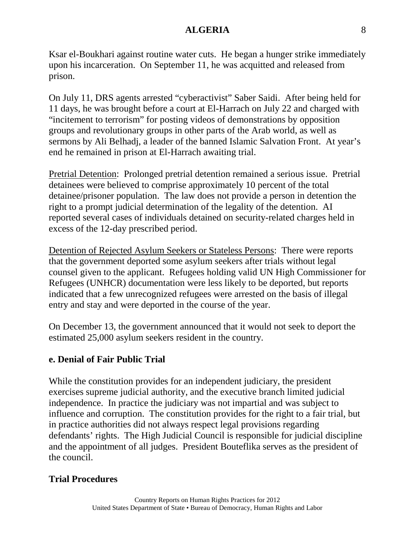Ksar el-Boukhari against routine water cuts. He began a hunger strike immediately upon his incarceration. On September 11, he was acquitted and released from prison.

On July 11, DRS agents arrested "cyberactivist" Saber Saidi. After being held for 11 days, he was brought before a court at El-Harrach on July 22 and charged with "incitement to terrorism" for posting videos of demonstrations by opposition groups and revolutionary groups in other parts of the Arab world, as well as sermons by Ali Belhadj, a leader of the banned Islamic Salvation Front. At year's end he remained in prison at El-Harrach awaiting trial.

Pretrial Detention: Prolonged pretrial detention remained a serious issue. Pretrial detainees were believed to comprise approximately 10 percent of the total detainee/prisoner population. The law does not provide a person in detention the right to a prompt judicial determination of the legality of the detention. AI reported several cases of individuals detained on security-related charges held in excess of the 12-day prescribed period.

Detention of Rejected Asylum Seekers or Stateless Persons: There were reports that the government deported some asylum seekers after trials without legal counsel given to the applicant. Refugees holding valid UN High Commissioner for Refugees (UNHCR) documentation were less likely to be deported, but reports indicated that a few unrecognized refugees were arrested on the basis of illegal entry and stay and were deported in the course of the year.

On December 13, the government announced that it would not seek to deport the estimated 25,000 asylum seekers resident in the country.

#### **e. Denial of Fair Public Trial**

While the constitution provides for an independent judiciary, the president exercises supreme judicial authority, and the executive branch limited judicial independence. In practice the judiciary was not impartial and was subject to influence and corruption. The constitution provides for the right to a fair trial, but in practice authorities did not always respect legal provisions regarding defendants' rights. The High Judicial Council is responsible for judicial discipline and the appointment of all judges. President Bouteflika serves as the president of the council.

#### **Trial Procedures**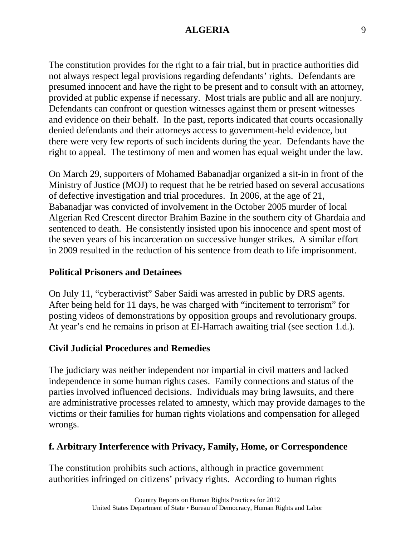The constitution provides for the right to a fair trial, but in practice authorities did not always respect legal provisions regarding defendants' rights. Defendants are presumed innocent and have the right to be present and to consult with an attorney, provided at public expense if necessary. Most trials are public and all are nonjury. Defendants can confront or question witnesses against them or present witnesses and evidence on their behalf. In the past, reports indicated that courts occasionally denied defendants and their attorneys access to government-held evidence, but there were very few reports of such incidents during the year. Defendants have the right to appeal. The testimony of men and women has equal weight under the law.

On March 29, supporters of Mohamed Babanadjar organized a sit-in in front of the Ministry of Justice (MOJ) to request that he be retried based on several accusations of defective investigation and trial procedures. In 2006, at the age of 21, Babanadjar was convicted of involvement in the October 2005 murder of local Algerian Red Crescent director Brahim Bazine in the southern city of Ghardaia and sentenced to death. He consistently insisted upon his innocence and spent most of the seven years of his incarceration on successive hunger strikes. A similar effort in 2009 resulted in the reduction of his sentence from death to life imprisonment.

#### **Political Prisoners and Detainees**

On July 11, "cyberactivist" Saber Saidi was arrested in public by DRS agents. After being held for 11 days, he was charged with "incitement to terrorism" for posting videos of demonstrations by opposition groups and revolutionary groups. At year's end he remains in prison at El-Harrach awaiting trial (see section 1.d.).

#### **Civil Judicial Procedures and Remedies**

The judiciary was neither independent nor impartial in civil matters and lacked independence in some human rights cases. Family connections and status of the parties involved influenced decisions. Individuals may bring lawsuits, and there are administrative processes related to amnesty, which may provide damages to the victims or their families for human rights violations and compensation for alleged wrongs.

#### **f. Arbitrary Interference with Privacy, Family, Home, or Correspondence**

The constitution prohibits such actions, although in practice government authorities infringed on citizens' privacy rights. According to human rights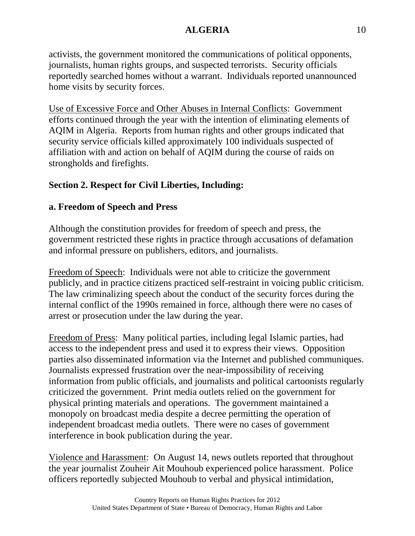activists, the government monitored the communications of political opponents, journalists, human rights groups, and suspected terrorists. Security officials reportedly searched homes without a warrant. Individuals reported unannounced home visits by security forces.

Use of Excessive Force and Other Abuses in Internal Conflicts: Government efforts continued through the year with the intention of eliminating elements of AQIM in Algeria. Reports from human rights and other groups indicated that security service officials killed approximately 100 individuals suspected of affiliation with and action on behalf of AQIM during the course of raids on strongholds and firefights.

# **Section 2. Respect for Civil Liberties, Including:**

# **a. Freedom of Speech and Press**

Although the constitution provides for freedom of speech and press, the government restricted these rights in practice through accusations of defamation and informal pressure on publishers, editors, and journalists.

Freedom of Speech: Individuals were not able to criticize the government publicly, and in practice citizens practiced self-restraint in voicing public criticism. The law criminalizing speech about the conduct of the security forces during the internal conflict of the 1990s remained in force, although there were no cases of arrest or prosecution under the law during the year.

Freedom of Press: Many political parties, including legal Islamic parties, had access to the independent press and used it to express their views. Opposition parties also disseminated information via the Internet and published communiques. Journalists expressed frustration over the near-impossibility of receiving information from public officials, and journalists and political cartoonists regularly criticized the government. Print media outlets relied on the government for physical printing materials and operations. The government maintained a monopoly on broadcast media despite a decree permitting the operation of independent broadcast media outlets. There were no cases of government interference in book publication during the year.

Violence and Harassment: On August 14, news outlets reported that throughout the year journalist Zouheir Ait Mouhoub experienced police harassment. Police officers reportedly subjected Mouhoub to verbal and physical intimidation,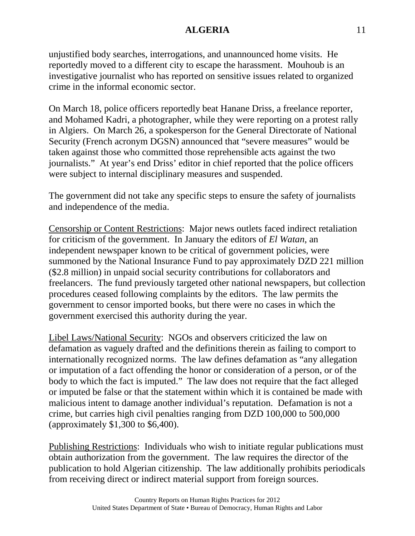unjustified body searches, interrogations, and unannounced home visits. He reportedly moved to a different city to escape the harassment. Mouhoub is an investigative journalist who has reported on sensitive issues related to organized crime in the informal economic sector.

On March 18, police officers reportedly beat Hanane Driss, a freelance reporter, and Mohamed Kadri, a photographer, while they were reporting on a protest rally in Algiers. On March 26, a spokesperson for the General Directorate of National Security (French acronym DGSN) announced that "severe measures" would be taken against those who committed those reprehensible acts against the two journalists." At year's end Driss' editor in chief reported that the police officers were subject to internal disciplinary measures and suspended.

The government did not take any specific steps to ensure the safety of journalists and independence of the media.

Censorship or Content Restrictions: Major news outlets faced indirect retaliation for criticism of the government. In January the editors of *El Watan*, an independent newspaper known to be critical of government policies, were summoned by the National Insurance Fund to pay approximately DZD 221 million (\$2.8 million) in unpaid social security contributions for collaborators and freelancers. The fund previously targeted other national newspapers, but collection procedures ceased following complaints by the editors. The law permits the government to censor imported books, but there were no cases in which the government exercised this authority during the year.

Libel Laws/National Security: NGOs and observers criticized the law on defamation as vaguely drafted and the definitions therein as failing to comport to internationally recognized norms. The law defines defamation as "any allegation or imputation of a fact offending the honor or consideration of a person, or of the body to which the fact is imputed." The law does not require that the fact alleged or imputed be false or that the statement within which it is contained be made with malicious intent to damage another individual's reputation. Defamation is not a crime, but carries high civil penalties ranging from DZD 100,000 to 500,000 (approximately \$1,300 to \$6,400).

Publishing Restrictions: Individuals who wish to initiate regular publications must obtain authorization from the government. The law requires the director of the publication to hold Algerian citizenship. The law additionally prohibits periodicals from receiving direct or indirect material support from foreign sources.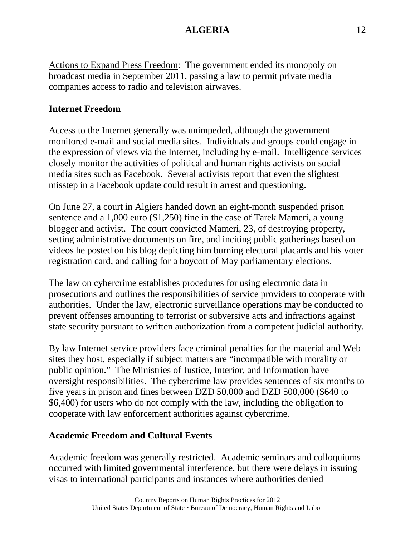Actions to Expand Press Freedom: The government ended its monopoly on broadcast media in September 2011, passing a law to permit private media companies access to radio and television airwaves.

# **Internet Freedom**

Access to the Internet generally was unimpeded, although the government monitored e-mail and social media sites. Individuals and groups could engage in the expression of views via the Internet, including by e-mail. Intelligence services closely monitor the activities of political and human rights activists on social media sites such as Facebook. Several activists report that even the slightest misstep in a Facebook update could result in arrest and questioning.

On June 27, a court in Algiers handed down an eight-month suspended prison sentence and a 1,000 euro (\$1,250) fine in the case of Tarek Mameri, a young blogger and activist. The court convicted Mameri, 23, of destroying property, setting administrative documents on fire, and inciting public gatherings based on videos he posted on his blog depicting him burning electoral placards and his voter registration card, and calling for a boycott of May parliamentary elections.

The law on cybercrime establishes procedures for using electronic data in prosecutions and outlines the responsibilities of service providers to cooperate with authorities. Under the law, electronic surveillance operations may be conducted to prevent offenses amounting to terrorist or subversive acts and infractions against state security pursuant to written authorization from a competent judicial authority.

By law Internet service providers face criminal penalties for the material and Web sites they host, especially if subject matters are "incompatible with morality or public opinion." The Ministries of Justice, Interior, and Information have oversight responsibilities. The cybercrime law provides sentences of six months to five years in prison and fines between DZD 50,000 and DZD 500,000 (\$640 to \$6,400) for users who do not comply with the law, including the obligation to cooperate with law enforcement authorities against cybercrime.

### **Academic Freedom and Cultural Events**

Academic freedom was generally restricted. Academic seminars and colloquiums occurred with limited governmental interference, but there were delays in issuing visas to international participants and instances where authorities denied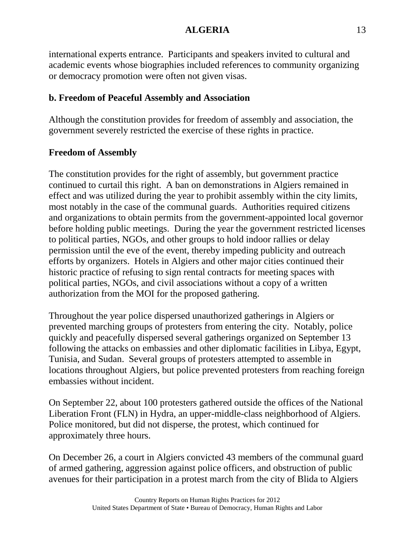international experts entrance. Participants and speakers invited to cultural and academic events whose biographies included references to community organizing or democracy promotion were often not given visas.

# **b. Freedom of Peaceful Assembly and Association**

Although the constitution provides for freedom of assembly and association, the government severely restricted the exercise of these rights in practice.

# **Freedom of Assembly**

The constitution provides for the right of assembly, but government practice continued to curtail this right. A ban on demonstrations in Algiers remained in effect and was utilized during the year to prohibit assembly within the city limits, most notably in the case of the communal guards. Authorities required citizens and organizations to obtain permits from the government-appointed local governor before holding public meetings. During the year the government restricted licenses to political parties, NGOs, and other groups to hold indoor rallies or delay permission until the eve of the event, thereby impeding publicity and outreach efforts by organizers. Hotels in Algiers and other major cities continued their historic practice of refusing to sign rental contracts for meeting spaces with political parties, NGOs, and civil associations without a copy of a written authorization from the MOI for the proposed gathering.

Throughout the year police dispersed unauthorized gatherings in Algiers or prevented marching groups of protesters from entering the city. Notably, police quickly and peacefully dispersed several gatherings organized on September 13 following the attacks on embassies and other diplomatic facilities in Libya, Egypt, Tunisia, and Sudan. Several groups of protesters attempted to assemble in locations throughout Algiers, but police prevented protesters from reaching foreign embassies without incident.

On September 22, about 100 protesters gathered outside the offices of the National Liberation Front (FLN) in Hydra, an upper-middle-class neighborhood of Algiers. Police monitored, but did not disperse, the protest, which continued for approximately three hours.

On December 26, a court in Algiers convicted 43 members of the communal guard of armed gathering, aggression against police officers, and obstruction of public avenues for their participation in a protest march from the city of Blida to Algiers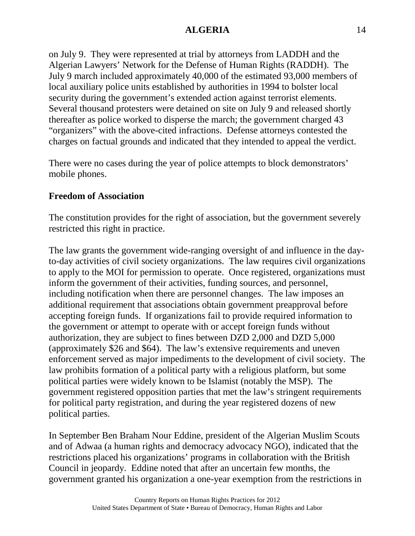on July 9. They were represented at trial by attorneys from LADDH and the Algerian Lawyers' Network for the Defense of Human Rights (RADDH). The July 9 march included approximately 40,000 of the estimated 93,000 members of local auxiliary police units established by authorities in 1994 to bolster local security during the government's extended action against terrorist elements. Several thousand protesters were detained on site on July 9 and released shortly thereafter as police worked to disperse the march; the government charged 43 "organizers" with the above-cited infractions. Defense attorneys contested the charges on factual grounds and indicated that they intended to appeal the verdict.

There were no cases during the year of police attempts to block demonstrators' mobile phones.

### **Freedom of Association**

The constitution provides for the right of association, but the government severely restricted this right in practice.

The law grants the government wide-ranging oversight of and influence in the dayto-day activities of civil society organizations. The law requires civil organizations to apply to the MOI for permission to operate. Once registered, organizations must inform the government of their activities, funding sources, and personnel, including notification when there are personnel changes. The law imposes an additional requirement that associations obtain government preapproval before accepting foreign funds. If organizations fail to provide required information to the government or attempt to operate with or accept foreign funds without authorization, they are subject to fines between DZD 2,000 and DZD 5,000 (approximately \$26 and \$64). The law's extensive requirements and uneven enforcement served as major impediments to the development of civil society. The law prohibits formation of a political party with a religious platform, but some political parties were widely known to be Islamist (notably the MSP). The government registered opposition parties that met the law's stringent requirements for political party registration, and during the year registered dozens of new political parties.

In September Ben Braham Nour Eddine, president of the Algerian Muslim Scouts and of Adwaa (a human rights and democracy advocacy NGO), indicated that the restrictions placed his organizations' programs in collaboration with the British Council in jeopardy. Eddine noted that after an uncertain few months, the government granted his organization a one-year exemption from the restrictions in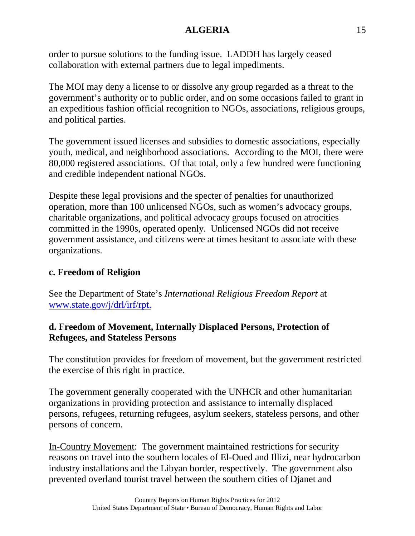order to pursue solutions to the funding issue. LADDH has largely ceased collaboration with external partners due to legal impediments.

The MOI may deny a license to or dissolve any group regarded as a threat to the government's authority or to public order, and on some occasions failed to grant in an expeditious fashion official recognition to NGOs, associations, religious groups, and political parties.

The government issued licenses and subsidies to domestic associations, especially youth, medical, and neighborhood associations. According to the MOI, there were 80,000 registered associations. Of that total, only a few hundred were functioning and credible independent national NGOs.

Despite these legal provisions and the specter of penalties for unauthorized operation, more than 100 unlicensed NGOs, such as women's advocacy groups, charitable organizations, and political advocacy groups focused on atrocities committed in the 1990s, operated openly. Unlicensed NGOs did not receive government assistance, and citizens were at times hesitant to associate with these organizations.

## **c. Freedom of Religion**

See the Department of State's *International Religious Freedom Report* at [www.state.gov/j/drl/irf/rpt.](http://www.state.gov/j/drl/irf/rpt)

# **d. Freedom of Movement, Internally Displaced Persons, Protection of Refugees, and Stateless Persons**

The constitution provides for freedom of movement, but the government restricted the exercise of this right in practice.

The government generally cooperated with the UNHCR and other humanitarian organizations in providing protection and assistance to internally displaced persons, refugees, returning refugees, asylum seekers, stateless persons, and other persons of concern.

In-Country Movement: The government maintained restrictions for security reasons on travel into the southern locales of El-Oued and Illizi, near hydrocarbon industry installations and the Libyan border, respectively. The government also prevented overland tourist travel between the southern cities of Djanet and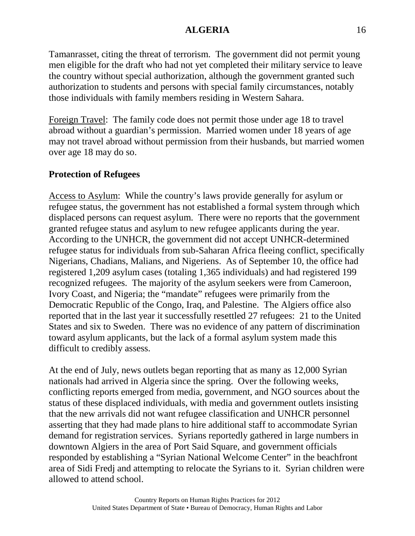Tamanrasset, citing the threat of terrorism. The government did not permit young men eligible for the draft who had not yet completed their military service to leave the country without special authorization, although the government granted such authorization to students and persons with special family circumstances, notably those individuals with family members residing in Western Sahara.

Foreign Travel: The family code does not permit those under age 18 to travel abroad without a guardian's permission. Married women under 18 years of age may not travel abroad without permission from their husbands, but married women over age 18 may do so.

#### **Protection of Refugees**

Access to Asylum: While the country's laws provide generally for asylum or refugee status, the government has not established a formal system through which displaced persons can request asylum. There were no reports that the government granted refugee status and asylum to new refugee applicants during the year. According to the UNHCR, the government did not accept UNHCR-determined refugee status for individuals from sub-Saharan Africa fleeing conflict, specifically Nigerians, Chadians, Malians, and Nigeriens. As of September 10, the office had registered 1,209 asylum cases (totaling 1,365 individuals) and had registered 199 recognized refugees. The majority of the asylum seekers were from Cameroon, Ivory Coast, and Nigeria; the "mandate" refugees were primarily from the Democratic Republic of the Congo, Iraq, and Palestine. The Algiers office also reported that in the last year it successfully resettled 27 refugees: 21 to the United States and six to Sweden. There was no evidence of any pattern of discrimination toward asylum applicants, but the lack of a formal asylum system made this difficult to credibly assess.

At the end of July, news outlets began reporting that as many as 12,000 Syrian nationals had arrived in Algeria since the spring. Over the following weeks, conflicting reports emerged from media, government, and NGO sources about the status of these displaced individuals, with media and government outlets insisting that the new arrivals did not want refugee classification and UNHCR personnel asserting that they had made plans to hire additional staff to accommodate Syrian demand for registration services. Syrians reportedly gathered in large numbers in downtown Algiers in the area of Port Said Square, and government officials responded by establishing a "Syrian National Welcome Center" in the beachfront area of Sidi Fredj and attempting to relocate the Syrians to it. Syrian children were allowed to attend school.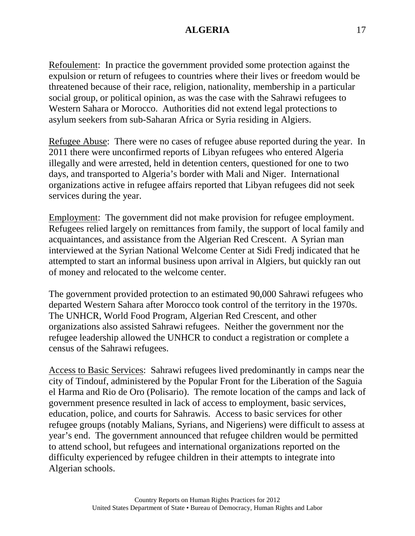Refoulement: In practice the government provided some protection against the expulsion or return of refugees to countries where their lives or freedom would be threatened because of their race, religion, nationality, membership in a particular social group, or political opinion, as was the case with the Sahrawi refugees to Western Sahara or Morocco. Authorities did not extend legal protections to asylum seekers from sub-Saharan Africa or Syria residing in Algiers.

Refugee Abuse: There were no cases of refugee abuse reported during the year. In 2011 there were unconfirmed reports of Libyan refugees who entered Algeria illegally and were arrested, held in detention centers, questioned for one to two days, and transported to Algeria's border with Mali and Niger. International organizations active in refugee affairs reported that Libyan refugees did not seek services during the year.

Employment: The government did not make provision for refugee employment. Refugees relied largely on remittances from family, the support of local family and acquaintances, and assistance from the Algerian Red Crescent. A Syrian man interviewed at the Syrian National Welcome Center at Sidi Fredj indicated that he attempted to start an informal business upon arrival in Algiers, but quickly ran out of money and relocated to the welcome center.

The government provided protection to an estimated 90,000 Sahrawi refugees who departed Western Sahara after Morocco took control of the territory in the 1970s. The UNHCR, World Food Program, Algerian Red Crescent, and other organizations also assisted Sahrawi refugees. Neither the government nor the refugee leadership allowed the UNHCR to conduct a registration or complete a census of the Sahrawi refugees.

Access to Basic Services: Sahrawi refugees lived predominantly in camps near the city of Tindouf, administered by the Popular Front for the Liberation of the Saguia el Harma and Rio de Oro (Polisario). The remote location of the camps and lack of government presence resulted in lack of access to employment, basic services, education, police, and courts for Sahrawis. Access to basic services for other refugee groups (notably Malians, Syrians, and Nigeriens) were difficult to assess at year's end. The government announced that refugee children would be permitted to attend school, but refugees and international organizations reported on the difficulty experienced by refugee children in their attempts to integrate into Algerian schools.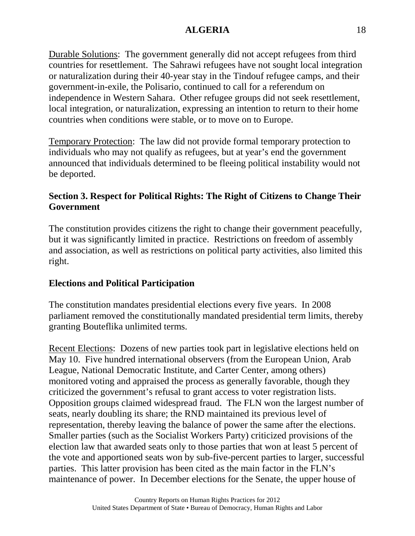Durable Solutions: The government generally did not accept refugees from third countries for resettlement. The Sahrawi refugees have not sought local integration or naturalization during their 40-year stay in the Tindouf refugee camps, and their government-in-exile, the Polisario, continued to call for a referendum on independence in Western Sahara. Other refugee groups did not seek resettlement, local integration, or naturalization, expressing an intention to return to their home countries when conditions were stable, or to move on to Europe.

Temporary Protection: The law did not provide formal temporary protection to individuals who may not qualify as refugees, but at year's end the government announced that individuals determined to be fleeing political instability would not be deported.

# **Section 3. Respect for Political Rights: The Right of Citizens to Change Their Government**

The constitution provides citizens the right to change their government peacefully, but it was significantly limited in practice. Restrictions on freedom of assembly and association, as well as restrictions on political party activities, also limited this right.

### **Elections and Political Participation**

The constitution mandates presidential elections every five years. In 2008 parliament removed the constitutionally mandated presidential term limits, thereby granting Bouteflika unlimited terms.

Recent Elections: Dozens of new parties took part in legislative elections held on May 10. Five hundred international observers (from the European Union, Arab League, National Democratic Institute, and Carter Center, among others) monitored voting and appraised the process as generally favorable, though they criticized the government's refusal to grant access to voter registration lists. Opposition groups claimed widespread fraud. The FLN won the largest number of seats, nearly doubling its share; the RND maintained its previous level of representation, thereby leaving the balance of power the same after the elections. Smaller parties (such as the Socialist Workers Party) criticized provisions of the election law that awarded seats only to those parties that won at least 5 percent of the vote and apportioned seats won by sub-five-percent parties to larger, successful parties. This latter provision has been cited as the main factor in the FLN's maintenance of power. In December elections for the Senate, the upper house of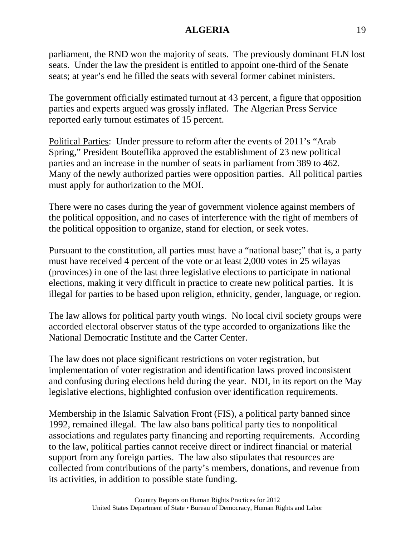parliament, the RND won the majority of seats. The previously dominant FLN lost seats. Under the law the president is entitled to appoint one-third of the Senate seats; at year's end he filled the seats with several former cabinet ministers.

The government officially estimated turnout at 43 percent, a figure that opposition parties and experts argued was grossly inflated. The Algerian Press Service reported early turnout estimates of 15 percent.

Political Parties: Under pressure to reform after the events of 2011's "Arab Spring," President Bouteflika approved the establishment of 23 new political parties and an increase in the number of seats in parliament from 389 to 462. Many of the newly authorized parties were opposition parties. All political parties must apply for authorization to the MOI.

There were no cases during the year of government violence against members of the political opposition, and no cases of interference with the right of members of the political opposition to organize, stand for election, or seek votes.

Pursuant to the constitution, all parties must have a "national base;" that is, a party must have received 4 percent of the vote or at least 2,000 votes in 25 wilayas (provinces) in one of the last three legislative elections to participate in national elections, making it very difficult in practice to create new political parties. It is illegal for parties to be based upon religion, ethnicity, gender, language, or region.

The law allows for political party youth wings. No local civil society groups were accorded electoral observer status of the type accorded to organizations like the National Democratic Institute and the Carter Center.

The law does not place significant restrictions on voter registration, but implementation of voter registration and identification laws proved inconsistent and confusing during elections held during the year. NDI, in its report on the May legislative elections, highlighted confusion over identification requirements.

Membership in the Islamic Salvation Front (FIS), a political party banned since 1992, remained illegal. The law also bans political party ties to nonpolitical associations and regulates party financing and reporting requirements. According to the law, political parties cannot receive direct or indirect financial or material support from any foreign parties. The law also stipulates that resources are collected from contributions of the party's members, donations, and revenue from its activities, in addition to possible state funding.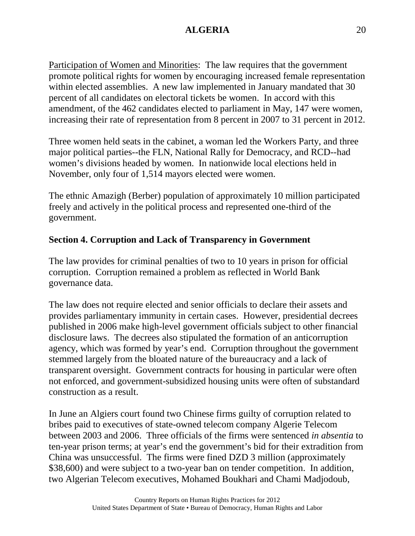Participation of Women and Minorities: The law requires that the government promote political rights for women by encouraging increased female representation within elected assemblies. A new law implemented in January mandated that 30 percent of all candidates on electoral tickets be women. In accord with this amendment, of the 462 candidates elected to parliament in May, 147 were women, increasing their rate of representation from 8 percent in 2007 to 31 percent in 2012.

Three women held seats in the cabinet, a woman led the Workers Party, and three major political parties--the FLN, National Rally for Democracy, and RCD--had women's divisions headed by women. In nationwide local elections held in November, only four of 1,514 mayors elected were women.

The ethnic Amazigh (Berber) population of approximately 10 million participated freely and actively in the political process and represented one-third of the government.

# **Section 4. Corruption and Lack of Transparency in Government**

The law provides for criminal penalties of two to 10 years in prison for official corruption. Corruption remained a problem as reflected in World Bank governance data.

The law does not require elected and senior officials to declare their assets and provides parliamentary immunity in certain cases. However, presidential decrees published in 2006 make high-level government officials subject to other financial disclosure laws. The decrees also stipulated the formation of an anticorruption agency, which was formed by year's end. Corruption throughout the government stemmed largely from the bloated nature of the bureaucracy and a lack of transparent oversight. Government contracts for housing in particular were often not enforced, and government-subsidized housing units were often of substandard construction as a result.

In June an Algiers court found two Chinese firms guilty of corruption related to bribes paid to executives of state-owned telecom company Algerie Telecom between 2003 and 2006. Three officials of the firms were sentenced *in absentia* to ten-year prison terms; at year's end the government's bid for their extradition from China was unsuccessful. The firms were fined DZD 3 million (approximately \$38,600) and were subject to a two-year ban on tender competition. In addition, two Algerian Telecom executives, Mohamed Boukhari and Chami Madjodoub,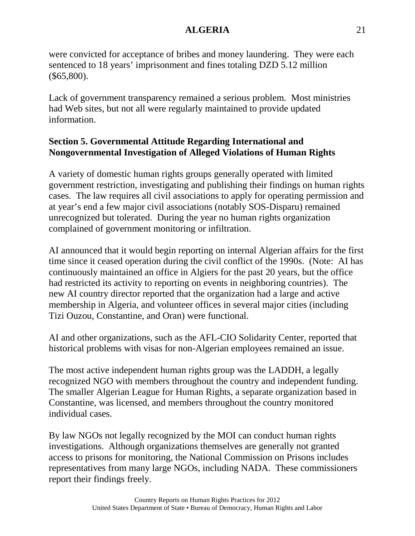were convicted for acceptance of bribes and money laundering. They were each sentenced to 18 years' imprisonment and fines totaling DZD 5.12 million (\$65,800).

Lack of government transparency remained a serious problem. Most ministries had Web sites, but not all were regularly maintained to provide updated information.

# **Section 5. Governmental Attitude Regarding International and Nongovernmental Investigation of Alleged Violations of Human Rights**

A variety of domestic human rights groups generally operated with limited government restriction, investigating and publishing their findings on human rights cases. The law requires all civil associations to apply for operating permission and at year's end a few major civil associations (notably SOS-Disparu) remained unrecognized but tolerated. During the year no human rights organization complained of government monitoring or infiltration.

AI announced that it would begin reporting on internal Algerian affairs for the first time since it ceased operation during the civil conflict of the 1990s. (Note: AI has continuously maintained an office in Algiers for the past 20 years, but the office had restricted its activity to reporting on events in neighboring countries). The new AI country director reported that the organization had a large and active membership in Algeria, and volunteer offices in several major cities (including Tizi Ouzou, Constantine, and Oran) were functional.

AI and other organizations, such as the AFL-CIO Solidarity Center, reported that historical problems with visas for non-Algerian employees remained an issue.

The most active independent human rights group was the LADDH, a legally recognized NGO with members throughout the country and independent funding. The smaller Algerian League for Human Rights, a separate organization based in Constantine, was licensed, and members throughout the country monitored individual cases.

By law NGOs not legally recognized by the MOI can conduct human rights investigations. Although organizations themselves are generally not granted access to prisons for monitoring, the National Commission on Prisons includes representatives from many large NGOs, including NADA. These commissioners report their findings freely.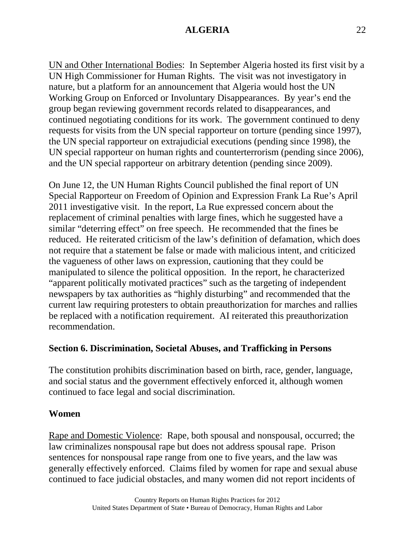UN and Other International Bodies: In September Algeria hosted its first visit by a UN High Commissioner for Human Rights. The visit was not investigatory in nature, but a platform for an announcement that Algeria would host the UN Working Group on Enforced or Involuntary Disappearances. By year's end the group began reviewing government records related to disappearances, and continued negotiating conditions for its work. The government continued to deny requests for visits from the UN special rapporteur on torture (pending since 1997), the UN special rapporteur on extrajudicial executions (pending since 1998), the UN special rapporteur on human rights and counterterrorism (pending since 2006), and the UN special rapporteur on arbitrary detention (pending since 2009).

On June 12, the UN Human Rights Council published the final report of UN Special Rapporteur on Freedom of Opinion and Expression Frank La Rue's April 2011 investigative visit. In the report, La Rue expressed concern about the replacement of criminal penalties with large fines, which he suggested have a similar "deterring effect" on free speech. He recommended that the fines be reduced. He reiterated criticism of the law's definition of defamation, which does not require that a statement be false or made with malicious intent, and criticized the vagueness of other laws on expression, cautioning that they could be manipulated to silence the political opposition. In the report, he characterized "apparent politically motivated practices" such as the targeting of independent newspapers by tax authorities as "highly disturbing" and recommended that the current law requiring protesters to obtain preauthorization for marches and rallies be replaced with a notification requirement. AI reiterated this preauthorization recommendation.

### **Section 6. Discrimination, Societal Abuses, and Trafficking in Persons**

The constitution prohibits discrimination based on birth, race, gender, language, and social status and the government effectively enforced it, although women continued to face legal and social discrimination.

#### **Women**

Rape and Domestic Violence: Rape, both spousal and nonspousal, occurred; the law criminalizes nonspousal rape but does not address spousal rape. Prison sentences for nonspousal rape range from one to five years, and the law was generally effectively enforced. Claims filed by women for rape and sexual abuse continued to face judicial obstacles, and many women did not report incidents of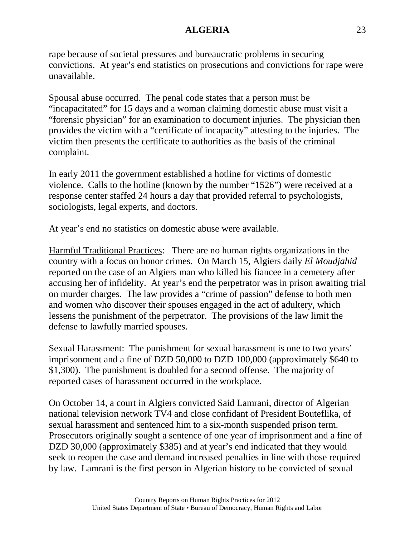rape because of societal pressures and bureaucratic problems in securing convictions. At year's end statistics on prosecutions and convictions for rape were unavailable.

Spousal abuse occurred. The penal code states that a person must be "incapacitated" for 15 days and a woman claiming domestic abuse must visit a "forensic physician" for an examination to document injuries. The physician then provides the victim with a "certificate of incapacity" attesting to the injuries. The victim then presents the certificate to authorities as the basis of the criminal complaint.

In early 2011 the government established a hotline for victims of domestic violence. Calls to the hotline (known by the number "1526") were received at a response center staffed 24 hours a day that provided referral to psychologists, sociologists, legal experts, and doctors.

At year's end no statistics on domestic abuse were available.

Harmful Traditional Practices: There are no human rights organizations in the country with a focus on honor crimes. On March 15, Algiers daily *El Moudjahid* reported on the case of an Algiers man who killed his fiancee in a cemetery after accusing her of infidelity. At year's end the perpetrator was in prison awaiting trial on murder charges. The law provides a "crime of passion" defense to both men and women who discover their spouses engaged in the act of adultery, which lessens the punishment of the perpetrator. The provisions of the law limit the defense to lawfully married spouses.

Sexual Harassment: The punishment for sexual harassment is one to two years' imprisonment and a fine of DZD 50,000 to DZD 100,000 (approximately \$640 to \$1,300). The punishment is doubled for a second offense. The majority of reported cases of harassment occurred in the workplace.

On October 14, a court in Algiers convicted Said Lamrani, director of Algerian national television network TV4 and close confidant of President Bouteflika, of sexual harassment and sentenced him to a six-month suspended prison term. Prosecutors originally sought a sentence of one year of imprisonment and a fine of DZD 30,000 (approximately \$385) and at year's end indicated that they would seek to reopen the case and demand increased penalties in line with those required by law. Lamrani is the first person in Algerian history to be convicted of sexual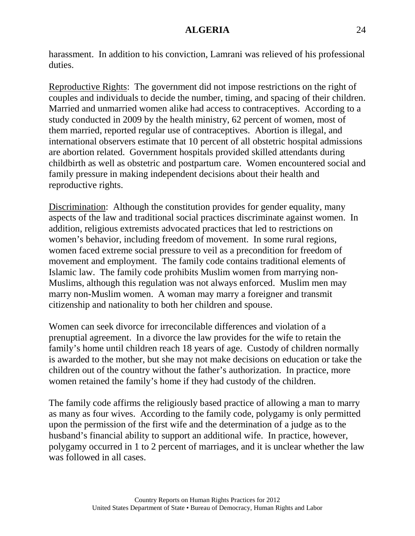harassment. In addition to his conviction, Lamrani was relieved of his professional duties.

Reproductive Rights: The government did not impose restrictions on the right of couples and individuals to decide the number, timing, and spacing of their children. Married and unmarried women alike had access to contraceptives. According to a study conducted in 2009 by the health ministry, 62 percent of women, most of them married, reported regular use of contraceptives. Abortion is illegal, and international observers estimate that 10 percent of all obstetric hospital admissions are abortion related. Government hospitals provided skilled attendants during childbirth as well as obstetric and postpartum care. Women encountered social and family pressure in making independent decisions about their health and reproductive rights.

Discrimination: Although the constitution provides for gender equality, many aspects of the law and traditional social practices discriminate against women. In addition, religious extremists advocated practices that led to restrictions on women's behavior, including freedom of movement. In some rural regions, women faced extreme social pressure to veil as a precondition for freedom of movement and employment. The family code contains traditional elements of Islamic law. The family code prohibits Muslim women from marrying non-Muslims, although this regulation was not always enforced. Muslim men may marry non-Muslim women. A woman may marry a foreigner and transmit citizenship and nationality to both her children and spouse.

Women can seek divorce for irreconcilable differences and violation of a prenuptial agreement. In a divorce the law provides for the wife to retain the family's home until children reach 18 years of age. Custody of children normally is awarded to the mother, but she may not make decisions on education or take the children out of the country without the father's authorization. In practice, more women retained the family's home if they had custody of the children.

The family code affirms the religiously based practice of allowing a man to marry as many as four wives. According to the family code, polygamy is only permitted upon the permission of the first wife and the determination of a judge as to the husband's financial ability to support an additional wife. In practice, however, polygamy occurred in 1 to 2 percent of marriages, and it is unclear whether the law was followed in all cases.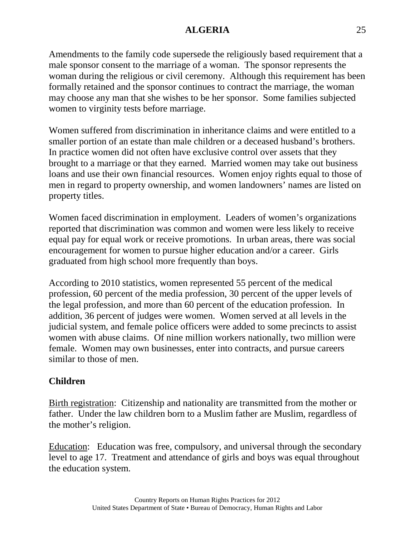Amendments to the family code supersede the religiously based requirement that a male sponsor consent to the marriage of a woman. The sponsor represents the woman during the religious or civil ceremony. Although this requirement has been formally retained and the sponsor continues to contract the marriage, the woman may choose any man that she wishes to be her sponsor. Some families subjected women to virginity tests before marriage.

Women suffered from discrimination in inheritance claims and were entitled to a smaller portion of an estate than male children or a deceased husband's brothers. In practice women did not often have exclusive control over assets that they brought to a marriage or that they earned. Married women may take out business loans and use their own financial resources. Women enjoy rights equal to those of men in regard to property ownership, and women landowners' names are listed on property titles.

Women faced discrimination in employment. Leaders of women's organizations reported that discrimination was common and women were less likely to receive equal pay for equal work or receive promotions. In urban areas, there was social encouragement for women to pursue higher education and/or a career. Girls graduated from high school more frequently than boys.

According to 2010 statistics, women represented 55 percent of the medical profession, 60 percent of the media profession, 30 percent of the upper levels of the legal profession, and more than 60 percent of the education profession. In addition, 36 percent of judges were women. Women served at all levels in the judicial system, and female police officers were added to some precincts to assist women with abuse claims. Of nine million workers nationally, two million were female. Women may own businesses, enter into contracts, and pursue careers similar to those of men.

# **Children**

Birth registration: Citizenship and nationality are transmitted from the mother or father. Under the law children born to a Muslim father are Muslim, regardless of the mother's religion.

Education: Education was free, compulsory, and universal through the secondary level to age 17. Treatment and attendance of girls and boys was equal throughout the education system.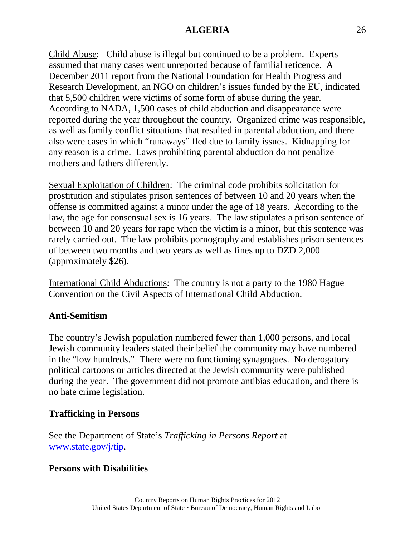Child Abuse: Child abuse is illegal but continued to be a problem. Experts assumed that many cases went unreported because of familial reticence. A December 2011 report from the National Foundation for Health Progress and Research Development, an NGO on children's issues funded by the EU, indicated that 5,500 children were victims of some form of abuse during the year. According to NADA, 1,500 cases of child abduction and disappearance were reported during the year throughout the country. Organized crime was responsible, as well as family conflict situations that resulted in parental abduction, and there also were cases in which "runaways" fled due to family issues. Kidnapping for any reason is a crime. Laws prohibiting parental abduction do not penalize mothers and fathers differently.

Sexual Exploitation of Children: The criminal code prohibits solicitation for prostitution and stipulates prison sentences of between 10 and 20 years when the offense is committed against a minor under the age of 18 years. According to the law, the age for consensual sex is 16 years. The law stipulates a prison sentence of between 10 and 20 years for rape when the victim is a minor, but this sentence was rarely carried out. The law prohibits pornography and establishes prison sentences of between two months and two years as well as fines up to DZD 2,000 (approximately \$26).

International Child Abductions: The country is not a party to the 1980 Hague Convention on the Civil Aspects of International Child Abduction.

### **Anti-Semitism**

The country's Jewish population numbered fewer than 1,000 persons, and local Jewish community leaders stated their belief the community may have numbered in the "low hundreds." There were no functioning synagogues. No derogatory political cartoons or articles directed at the Jewish community were published during the year. The government did not promote antibias education, and there is no hate crime legislation.

#### **Trafficking in Persons**

See the Department of State's *Trafficking in Persons Report* at [www.state.gov/j/tip.](http://www.state.gov/j/tip)

#### **Persons with Disabilities**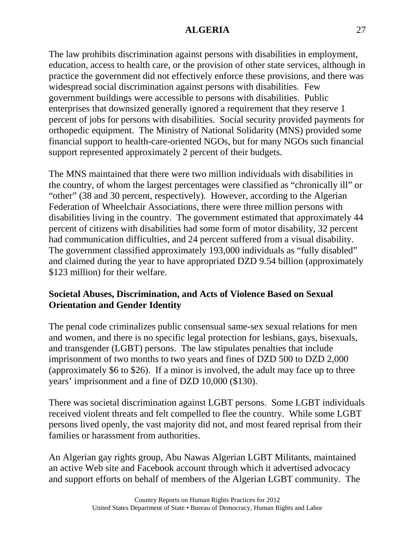The law prohibits discrimination against persons with disabilities in employment, education, access to health care, or the provision of other state services, although in practice the government did not effectively enforce these provisions, and there was widespread social discrimination against persons with disabilities. Few government buildings were accessible to persons with disabilities. Public enterprises that downsized generally ignored a requirement that they reserve 1 percent of jobs for persons with disabilities. Social security provided payments for orthopedic equipment. The Ministry of National Solidarity (MNS) provided some financial support to health-care-oriented NGOs, but for many NGOs such financial support represented approximately 2 percent of their budgets.

The MNS maintained that there were two million individuals with disabilities in the country, of whom the largest percentages were classified as "chronically ill" or "other" (38 and 30 percent, respectively). However, according to the Algerian Federation of Wheelchair Associations, there were three million persons with disabilities living in the country. The government estimated that approximately 44 percent of citizens with disabilities had some form of motor disability, 32 percent had communication difficulties, and 24 percent suffered from a visual disability. The government classified approximately 193,000 individuals as "fully disabled" and claimed during the year to have appropriated DZD 9.54 billion (approximately \$123 million) for their welfare.

# **Societal Abuses, Discrimination, and Acts of Violence Based on Sexual Orientation and Gender Identity**

The penal code criminalizes public consensual same-sex sexual relations for men and women, and there is no specific legal protection for lesbians, gays, bisexuals, and transgender (LGBT) persons. The law stipulates penalties that include imprisonment of two months to two years and fines of DZD 500 to DZD 2,000 (approximately \$6 to \$26). If a minor is involved, the adult may face up to three years' imprisonment and a fine of DZD 10,000 (\$130).

There was societal discrimination against LGBT persons. Some LGBT individuals received violent threats and felt compelled to flee the country. While some LGBT persons lived openly, the vast majority did not, and most feared reprisal from their families or harassment from authorities.

An Algerian gay rights group, Abu Nawas Algerian LGBT Militants, maintained an active Web site and Facebook account through which it advertised advocacy and support efforts on behalf of members of the Algerian LGBT community. The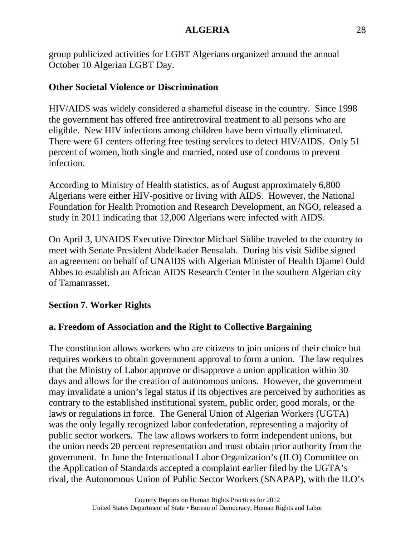group publicized activities for LGBT Algerians organized around the annual October 10 Algerian LGBT Day.

### **Other Societal Violence or Discrimination**

HIV/AIDS was widely considered a shameful disease in the country. Since 1998 the government has offered free antiretroviral treatment to all persons who are eligible. New HIV infections among children have been virtually eliminated. There were 61 centers offering free testing services to detect HIV/AIDS. Only 51 percent of women, both single and married, noted use of condoms to prevent infection.

According to Ministry of Health statistics, as of August approximately 6,800 Algerians were either HIV-positive or living with AIDS. However, the National Foundation for Health Promotion and Research Development, an NGO, released a study in 2011 indicating that 12,000 Algerians were infected with AIDS.

On April 3, UNAIDS Executive Director Michael Sidibe traveled to the country to meet with Senate President Abdelkader Bensalah. During his visit Sidibe signed an agreement on behalf of UNAIDS with Algerian Minister of Health Djamel Ould Abbes to establish an African AIDS Research Center in the southern Algerian city of Tamanrasset.

### **Section 7. Worker Rights**

### **a. Freedom of Association and the Right to Collective Bargaining**

The constitution allows workers who are citizens to join unions of their choice but requires workers to obtain government approval to form a union. The law requires that the Ministry of Labor approve or disapprove a union application within 30 days and allows for the creation of autonomous unions. However, the government may invalidate a union's legal status if its objectives are perceived by authorities as contrary to the established institutional system, public order, good morals, or the laws or regulations in force. The General Union of Algerian Workers (UGTA) was the only legally recognized labor confederation, representing a majority of public sector workers. The law allows workers to form independent unions, but the union needs 20 percent representation and must obtain prior authority from the government. In June the International Labor Organization's (ILO) Committee on the Application of Standards accepted a complaint earlier filed by the UGTA's rival, the Autonomous Union of Public Sector Workers (SNAPAP), with the ILO's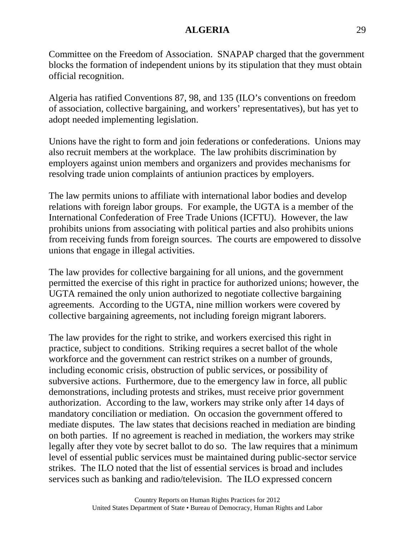Committee on the Freedom of Association. SNAPAP charged that the government blocks the formation of independent unions by its stipulation that they must obtain official recognition.

Algeria has ratified Conventions 87, 98, and 135 (ILO's conventions on freedom of association, collective bargaining, and workers' representatives), but has yet to adopt needed implementing legislation.

Unions have the right to form and join federations or confederations. Unions may also recruit members at the workplace. The law prohibits discrimination by employers against union members and organizers and provides mechanisms for resolving trade union complaints of antiunion practices by employers.

The law permits unions to affiliate with international labor bodies and develop relations with foreign labor groups. For example, the UGTA is a member of the International Confederation of Free Trade Unions (ICFTU). However, the law prohibits unions from associating with political parties and also prohibits unions from receiving funds from foreign sources. The courts are empowered to dissolve unions that engage in illegal activities.

The law provides for collective bargaining for all unions, and the government permitted the exercise of this right in practice for authorized unions; however, the UGTA remained the only union authorized to negotiate collective bargaining agreements. According to the UGTA, nine million workers were covered by collective bargaining agreements, not including foreign migrant laborers.

The law provides for the right to strike, and workers exercised this right in practice, subject to conditions. Striking requires a secret ballot of the whole workforce and the government can restrict strikes on a number of grounds, including economic crisis, obstruction of public services, or possibility of subversive actions. Furthermore, due to the emergency law in force, all public demonstrations, including protests and strikes, must receive prior government authorization. According to the law, workers may strike only after 14 days of mandatory conciliation or mediation. On occasion the government offered to mediate disputes. The law states that decisions reached in mediation are binding on both parties. If no agreement is reached in mediation, the workers may strike legally after they vote by secret ballot to do so. The law requires that a minimum level of essential public services must be maintained during public-sector service strikes. The ILO noted that the list of essential services is broad and includes services such as banking and radio/television. The ILO expressed concern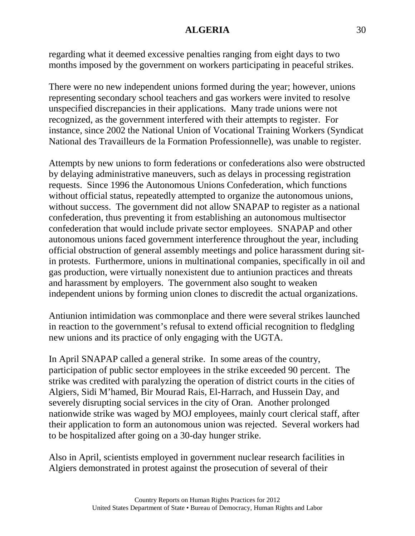regarding what it deemed excessive penalties ranging from eight days to two months imposed by the government on workers participating in peaceful strikes.

There were no new independent unions formed during the year; however, unions representing secondary school teachers and gas workers were invited to resolve unspecified discrepancies in their applications. Many trade unions were not recognized, as the government interfered with their attempts to register. For instance, since 2002 the National Union of Vocational Training Workers (Syndicat National des Travailleurs de la Formation Professionnelle), was unable to register.

Attempts by new unions to form federations or confederations also were obstructed by delaying administrative maneuvers, such as delays in processing registration requests. Since 1996 the Autonomous Unions Confederation, which functions without official status, repeatedly attempted to organize the autonomous unions, without success. The government did not allow SNAPAP to register as a national confederation, thus preventing it from establishing an autonomous multisector confederation that would include private sector employees. SNAPAP and other autonomous unions faced government interference throughout the year, including official obstruction of general assembly meetings and police harassment during sitin protests. Furthermore, unions in multinational companies, specifically in oil and gas production, were virtually nonexistent due to antiunion practices and threats and harassment by employers. The government also sought to weaken independent unions by forming union clones to discredit the actual organizations.

Antiunion intimidation was commonplace and there were several strikes launched in reaction to the government's refusal to extend official recognition to fledgling new unions and its practice of only engaging with the UGTA.

In April SNAPAP called a general strike. In some areas of the country, participation of public sector employees in the strike exceeded 90 percent. The strike was credited with paralyzing the operation of district courts in the cities of Algiers, Sidi M'hamed, Bir Mourad Rais, El-Harrach, and Hussein Day, and severely disrupting social services in the city of Oran. Another prolonged nationwide strike was waged by MOJ employees, mainly court clerical staff, after their application to form an autonomous union was rejected. Several workers had to be hospitalized after going on a 30-day hunger strike.

Also in April, scientists employed in government nuclear research facilities in Algiers demonstrated in protest against the prosecution of several of their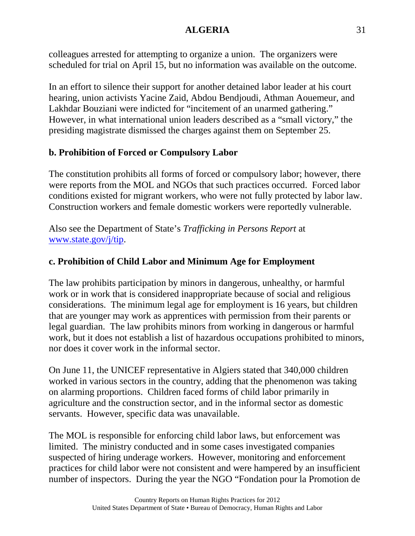colleagues arrested for attempting to organize a union. The organizers were scheduled for trial on April 15, but no information was available on the outcome.

In an effort to silence their support for another detained labor leader at his court hearing, union activists Yacine Zaid, Abdou Bendjoudi, Athman Aouemeur, and Lakhdar Bouziani were indicted for "incitement of an unarmed gathering." However, in what international union leaders described as a "small victory," the presiding magistrate dismissed the charges against them on September 25.

# **b. Prohibition of Forced or Compulsory Labor**

The constitution prohibits all forms of forced or compulsory labor; however, there were reports from the MOL and NGOs that such practices occurred. Forced labor conditions existed for migrant workers, who were not fully protected by labor law. Construction workers and female domestic workers were reportedly vulnerable.

Also see the Department of State's *Trafficking in Persons Report* at [www.state.gov/j/tip.](http://www.state.gov/j/tip)

# **c. Prohibition of Child Labor and Minimum Age for Employment**

The law prohibits participation by minors in dangerous, unhealthy, or harmful work or in work that is considered inappropriate because of social and religious considerations. The minimum legal age for employment is 16 years, but children that are younger may work as apprentices with permission from their parents or legal guardian. The law prohibits minors from working in dangerous or harmful work, but it does not establish a list of hazardous occupations prohibited to minors, nor does it cover work in the informal sector.

On June 11, the UNICEF representative in Algiers stated that 340,000 children worked in various sectors in the country, adding that the phenomenon was taking on alarming proportions. Children faced forms of child labor primarily in agriculture and the construction sector, and in the informal sector as domestic servants. However, specific data was unavailable.

The MOL is responsible for enforcing child labor laws, but enforcement was limited. The ministry conducted and in some cases investigated companies suspected of hiring underage workers. However, monitoring and enforcement practices for child labor were not consistent and were hampered by an insufficient number of inspectors. During the year the NGO "Fondation pour la Promotion de